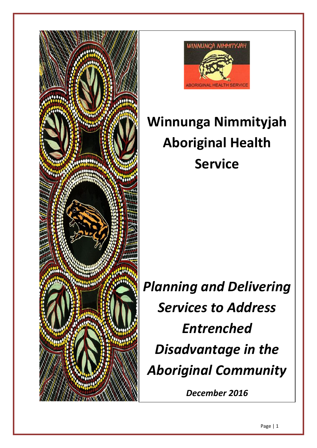



# **Winnunga Nimmityjah Aboriginal Health Service**

*Planning and Delivering Services to Address Entrenched Disadvantage in the Aboriginal Community*

*December 2016*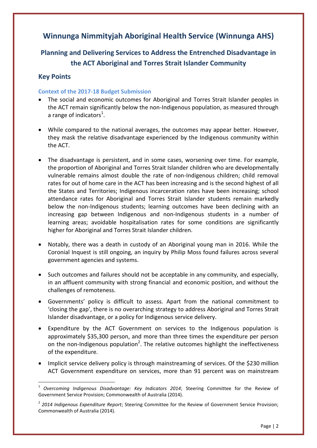# **Winnunga Nimmityjah Aboriginal Health Service (Winnunga AHS)**

# **Planning and Delivering Services to Address the Entrenched Disadvantage in the ACT Aboriginal and Torres Strait Islander Community**

# **Key Points**

 $\overline{a}$ 

# **Context of the 2017-18 Budget Submission**

- The social and economic outcomes for Aboriginal and Torres Strait Islander peoples in the ACT remain significantly below the non-Indigenous population, as measured through a range of indicators<sup>1</sup>.
- While compared to the national averages, the outcomes may appear better. However, they mask the relative disadvantage experienced by the Indigenous community within the ACT.
- The disadvantage is persistent, and in some cases, worsening over time. For example, the proportion of Aboriginal and Torres Strait Islander children who are developmentally vulnerable remains almost double the rate of non-Indigenous children; child removal rates for out of home care in the ACT has been increasing and is the second highest of all the States and Territories; Indigenous incarceration rates have been increasing; school attendance rates for Aboriginal and Torres Strait Islander students remain markedly below the non-Indigenous students; learning outcomes have been declining with an increasing gap between Indigenous and non-Indigenous students in a number of learning areas; avoidable hospitalisation rates for some conditions are significantly higher for Aboriginal and Torres Strait Islander children.
- Notably, there was a death in custody of an Aboriginal young man in 2016. While the Coronial Inquest is still ongoing, an inquiry by Philip Moss found failures across several government agencies and systems.
- Such outcomes and failures should not be acceptable in any community, and especially, in an affluent community with strong financial and economic position, and without the challenges of remoteness.
- Governments' policy is difficult to assess. Apart from the national commitment to 'closing the gap', there is no overarching strategy to address Aboriginal and Torres Strait Islander disadvantage, or a policy for Indigenous service delivery.
- Expenditure by the ACT Government on services to the Indigenous population is approximately \$35,300 person, and more than three times the expenditure per person on the non-Indigenous population<sup>2</sup>. The relative outcomes highlight the ineffectiveness of the expenditure.
- Implicit service delivery policy is through mainstreaming of services. Of the \$230 million ACT Government expenditure on services, more than 91 percent was on mainstream

<sup>1</sup> *Overcoming Indigenous Disadvantage: Key Indicators 2014*; Steering Committee for the Review of Government Service Provision; Commonwealth of Australia (2014).

<sup>2</sup> *2014 Indigenous Expenditure Report*; Steering Committee for the Review of Government Service Provision; Commonwealth of Australia (2014).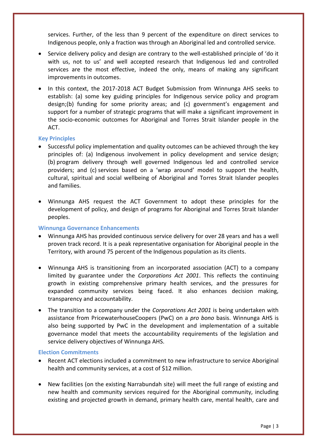services. Further, of the less than 9 percent of the expenditure on direct services to Indigenous people, only a fraction was through an Aboriginal led and controlled service.

- Service delivery policy and design are contrary to the well-established principle of 'do it with us, not to us' and well accepted research that Indigenous led and controlled services are the most effective, indeed the only, means of making any significant improvements in outcomes.
- In this context, the 2017-2018 ACT Budget Submission from Winnunga AHS seeks to establish: (a) some key guiding principles for Indigenous service policy and program design;(b) funding for some priority areas; and (c) government's engagement and support for a number of strategic programs that will make a significant improvement in the socio-economic outcomes for Aboriginal and Torres Strait Islander people in the ACT.

#### **Key Principles**

- Successful policy implementation and quality outcomes can be achieved through the key principles of: (a) Indigenous involvement in policy development and service design; (b) program delivery through well governed Indigenous led and controlled service providers; and (c) services based on a 'wrap around' model to support the health, cultural, spiritual and social wellbeing of Aboriginal and Torres Strait Islander peoples and families.
- Winnunga AHS request the ACT Government to adopt these principles for the development of policy, and design of programs for Aboriginal and Torres Strait Islander peoples.

#### **Winnunga Governance Enhancements**

- Winnunga AHS has provided continuous service delivery for over 28 years and has a well proven track record. It is a peak representative organisation for Aboriginal people in the Territory, with around 75 percent of the Indigenous population as its clients.
- Winnunga AHS is transitioning from an incorporated association (ACT) to a company limited by guarantee under the *Corporations Act 2001*. This reflects the continuing growth in existing comprehensive primary health services, and the pressures for expanded community services being faced. It also enhances decision making, transparency and accountability.
- The transition to a company under the *Corporations Act 2001* is being undertaken with assistance from PricewaterhouseCoopers (PwC) on a *pro bono* basis. Winnunga AHS is also being supported by PwC in the development and implementation of a suitable governance model that meets the accountability requirements of the legislation and service delivery objectives of Winnunga AHS.

#### **Election Commitments**

- Recent ACT elections included a commitment to new infrastructure to service Aboriginal health and community services, at a cost of \$12 million.
- New facilities (on the existing Narrabundah site) will meet the full range of existing and new health and community services required for the Aboriginal community, including existing and projected growth in demand, primary health care, mental health, care and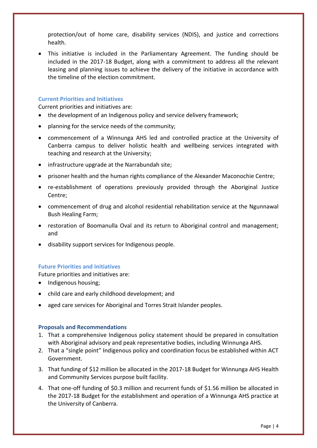protection/out of home care, disability services (NDIS), and justice and corrections health.

 This initiative is included in the Parliamentary Agreement. The funding should be included in the 2017-18 Budget, along with a commitment to address all the relevant leasing and planning issues to achieve the delivery of the initiative in accordance with the timeline of the election commitment.

# **Current Priorities and Initiatives**

Current priorities and initiatives are:

- the development of an Indigenous policy and service delivery framework;
- planning for the service needs of the community;
- commencement of a Winnunga AHS led and controlled practice at the University of Canberra campus to deliver holistic health and wellbeing services integrated with teaching and research at the University;
- infrastructure upgrade at the Narrabundah site;
- prisoner health and the human rights compliance of the Alexander Maconochie Centre;
- re-establishment of operations previously provided through the Aboriginal Justice Centre;
- commencement of drug and alcohol residential rehabilitation service at the Ngunnawal Bush Healing Farm;
- restoration of Boomanulla Oval and its return to Aboriginal control and management; and
- disability support services for Indigenous people.

#### **Future Priorities and Initiatives**

Future priorities and initiatives are:

- Indigenous housing:
- child care and early childhood development; and
- aged care services for Aboriginal and Torres Strait Islander peoples.

#### **Proposals and Recommendations**

- 1. That a comprehensive Indigenous policy statement should be prepared in consultation with Aboriginal advisory and peak representative bodies, including Winnunga AHS.
- 2. That a "single point" Indigenous policy and coordination focus be established within ACT Government.
- 3. That funding of \$12 million be allocated in the 2017-18 Budget for Winnunga AHS Health and Community Services purpose built facility.
- 4. That one-off funding of \$0.3 million and recurrent funds of \$1.56 million be allocated in the 2017-18 Budget for the establishment and operation of a Winnunga AHS practice at the University of Canberra.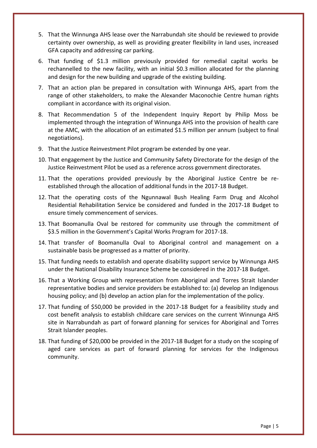- 5. That the Winnunga AHS lease over the Narrabundah site should be reviewed to provide certainty over ownership, as well as providing greater flexibility in land uses, increased GFA capacity and addressing car parking.
- 6. That funding of \$1.3 million previously provided for remedial capital works be rechannelled to the new facility, with an initial \$0.3 million allocated for the planning and design for the new building and upgrade of the existing building.
- 7. That an action plan be prepared in consultation with Winnunga AHS, apart from the range of other stakeholders, to make the Alexander Maconochie Centre human rights compliant in accordance with its original vision.
- 8. That Recommendation 5 of the Independent Inquiry Report by Philip Moss be implemented through the integration of Winnunga AHS into the provision of health care at the AMC, with the allocation of an estimated \$1.5 million per annum (subject to final negotiations).
- 9. That the Justice Reinvestment Pilot program be extended by one year.
- 10. That engagement by the Justice and Community Safety Directorate for the design of the Justice Reinvestment Pilot be used as a reference across government directorates.
- 11. That the operations provided previously by the Aboriginal Justice Centre be reestablished through the allocation of additional funds in the 2017-18 Budget.
- 12. That the operating costs of the Ngunnawal Bush Healing Farm Drug and Alcohol Residential Rehabilitation Service be considered and funded in the 2017-18 Budget to ensure timely commencement of services.
- 13. That Boomanulla Oval be restored for community use through the commitment of \$3.5 million in the Government's Capital Works Program for 2017-18.
- 14. That transfer of Boomanulla Oval to Aboriginal control and management on a sustainable basis be progressed as a matter of priority.
- 15. That funding needs to establish and operate disability support service by Winnunga AHS under the National Disability Insurance Scheme be considered in the 2017-18 Budget.
- 16. That a Working Group with representation from Aboriginal and Torres Strait Islander representative bodies and service providers be established to: (a) develop an Indigenous housing policy; and (b) develop an action plan for the implementation of the policy.
- 17. That funding of \$50,000 be provided in the 2017-18 Budget for a feasibility study and cost benefit analysis to establish childcare care services on the current Winnunga AHS site in Narrabundah as part of forward planning for services for Aboriginal and Torres Strait Islander peoples.
- 18. That funding of \$20,000 be provided in the 2017-18 Budget for a study on the scoping of aged care services as part of forward planning for services for the Indigenous community.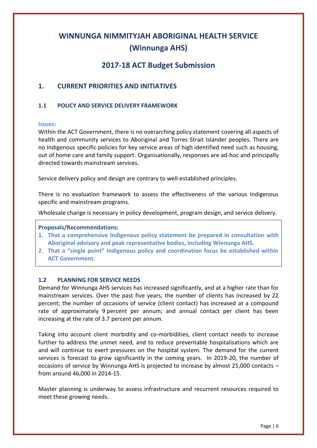# **WINNUNGA NIMMITYJAH ABORIGINAL HEALTH SERVICE (Winnunga AHS)**

# **2017-18 ACT Budget Submission**

# **1. CURRENT PRIORITIES AND INITIATIVES**

# **1.1 POLICY AND SERVICE DELIVERY FRAMEWORK**

#### **Issues:**

Within the ACT Government, there is no overarching policy statement covering all aspects of health and community services to Aboriginal and Torres Strait Islander peoples. There are no Indigenous specific policies for key service areas of high identified need such as housing, out of home care and family support. Organisationally, responses are ad-hoc and principally directed towards mainstream services.

Service delivery policy and design are contrary to well-established principles.

There is no evaluation framework to assess the effectiveness of the various Indigenous specific and mainstream programs.

Wholesale change is necessary in policy development, program design, and service delivery.

# **Proposals/Recommendations:**

- **1. That a comprehensive Indigenous policy statement be prepared in consultation with Aboriginal advisory and peak representative bodies, including Winnunga AHS.**
- **2. That a "single point" Indigenous policy and coordination focus be established within ACT Government.**

# **1.2 PLANNING FOR SERVICE NEEDS**

Demand for Winnunga AHS services has increased significantly, and at a higher rate than for mainstream services. Over the past five years, the number of clients has increased by 22 percent; the number of occasions of service (client contact) has increased at a compound rate of approximately 9 percent per annum; and annual contact per client has been increasing at the rate of 3.7 percent per annum.

Taking into account client morbidity and co-morbidities, client contact needs to increase further to address the unmet need, and to reduce preventable hospitalisations which are and will continue to exert pressures on the hospital system. The demand for the current services is forecast to grow significantly in the coming years. In 2019-20, the number of occasions of service by Winnunga AHS is projected to increase by almost 25,000 contacts – from around 46,000 in 2014-15.

Master planning is underway to assess infrastructure and recurrent resources required to meet these growing needs.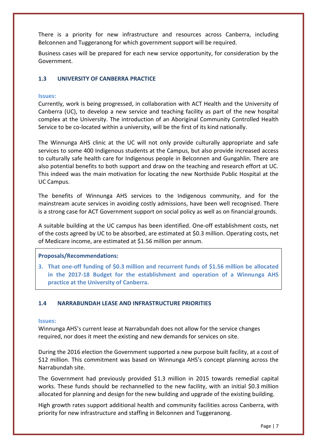There is a priority for new infrastructure and resources across Canberra, including Belconnen and Tuggeranong for which government support will be required.

Business cases will be prepared for each new service opportunity, for consideration by the Government.

# **1.3 UNIVERSITY OF CANBERRA PRACTICE**

#### **Issues:**

Currently, work is being progressed, in collaboration with ACT Health and the University of Canberra (UC), to develop a new service and teaching facility as part of the new hospital complex at the University. The introduction of an Aboriginal Community Controlled Health Service to be co-located within a university, will be the first of its kind nationally.

The Winnunga AHS clinic at the UC will not only provide culturally appropriate and safe services to some 400 Indigenous students at the Campus, but also provide increased access to culturally safe health care for Indigenous people in Belconnen and Gungahlin. There are also potential benefits to both support and draw on the teaching and research effort at UC. This indeed was the main motivation for locating the new Northside Public Hospital at the UC Campus.

The benefits of Winnunga AHS services to the Indigenous community, and for the mainstream acute services in avoiding costly admissions, have been well recognised. There is a strong case for ACT Government support on social policy as well as on financial grounds.

A suitable building at the UC campus has been identified. One-off establishment costs, net of the costs agreed by UC to be absorbed, are estimated at \$0.3 million. Operating costs, net of Medicare income, are estimated at \$1.56 million per annum.

#### **Proposals/Recommendations:**

**3. That one-off funding of \$0.3 million and recurrent funds of \$1.56 million be allocated in the 2017-18 Budget for the establishment and operation of a Winnunga AHS practice at the University of Canberra.**

#### **1.4 NARRABUNDAH LEASE AND INFRASTRUCTURE PRIORITIES**

#### **Issues:**

Winnunga AHS's current lease at Narrabundah does not allow for the service changes required, nor does it meet the existing and new demands for services on site.

During the 2016 election the Government supported a new purpose built facility, at a cost of \$12 million. This commitment was based on Winnunga AHS's concept planning across the Narrabundah site.

The Government had previously provided \$1.3 million in 2015 towards remedial capital works. These funds should be rechannelled to the new facility, with an initial \$0.3 million allocated for planning and design for the new building and upgrade of the existing building.

High growth rates support additional health and community facilities across Canberra, with priority for new infrastructure and staffing in Belconnen and Tuggeranong.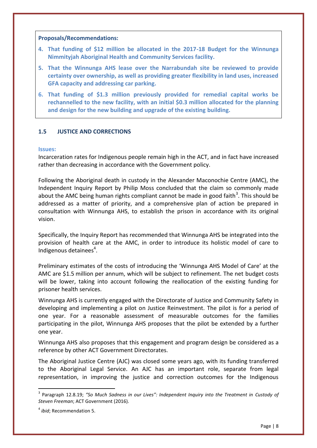#### **Proposals/Recommendations:**

- **4. That funding of \$12 million be allocated in the 2017-18 Budget for the Winnunga Nimmityjah Aboriginal Health and Community Services facility.**
- **5. That the Winnunga AHS lease over the Narrabundah site be reviewed to provide certainty over ownership, as well as providing greater flexibility in land uses, increased GFA capacity and addressing car parking.**
- **6. That funding of \$1.3 million previously provided for remedial capital works be rechannelled to the new facility, with an initial \$0.3 million allocated for the planning and design for the new building and upgrade of the existing building.**

#### **1.5 JUSTICE AND CORRECTIONS**

#### **Issues:**

Incarceration rates for Indigenous people remain high in the ACT, and in fact have increased rather than decreasing in accordance with the Government policy.

Following the Aboriginal death in custody in the Alexander Maconochie Centre (AMC), the Independent Inquiry Report by Philip Moss concluded that the claim so commonly made about the AMC being human rights compliant cannot be made in good faith<sup>3</sup>. This should be addressed as a matter of priority, and a comprehensive plan of action be prepared in consultation with Winnunga AHS, to establish the prison in accordance with its original vision.

Specifically, the Inquiry Report has recommended that Winnunga AHS be integrated into the provision of health care at the AMC, in order to introduce its holistic model of care to Indigenous detainees<sup>4</sup>.

Preliminary estimates of the costs of introducing the 'Winnunga AHS Model of Care' at the AMC are \$1.5 million per annum, which will be subject to refinement. The net budget costs will be lower, taking into account following the reallocation of the existing funding for prisoner health services.

Winnunga AHS is currently engaged with the Directorate of Justice and Community Safety in developing and implementing a pilot on Justice Reinvestment. The pilot is for a period of one year. For a reasonable assessment of measurable outcomes for the families participating in the pilot, Winnunga AHS proposes that the pilot be extended by a further one year.

Winnunga AHS also proposes that this engagement and program design be considered as a reference by other ACT Government Directorates.

The Aboriginal Justice Centre (AJC) was closed some years ago, with its funding transferred to the Aboriginal Legal Service. An AJC has an important role, separate from legal representation, in improving the justice and correction outcomes for the Indigenous

1

<sup>&</sup>lt;sup>3</sup> Paragraph 12.8.19; "So Much Sadness in our Lives": Independent Inquiry into the Treatment in Custody of *Steven Freeman*; ACT Government (2016).

<sup>4</sup> *ibid*; Recommendation 5.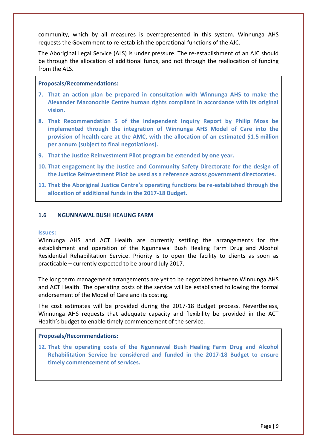community, which by all measures is overrepresented in this system. Winnunga AHS requests the Government to re-establish the operational functions of the AJC.

The Aboriginal Legal Service (ALS) is under pressure. The re-establishment of an AJC should be through the allocation of additional funds, and not through the reallocation of funding from the ALS.

#### **Proposals/Recommendations:**

- **7. That an action plan be prepared in consultation with Winnunga AHS to make the Alexander Maconochie Centre human rights compliant in accordance with its original vision.**
- **8. That Recommendation 5 of the Independent Inquiry Report by Philip Moss be implemented through the integration of Winnunga AHS Model of Care into the provision of health care at the AMC, with the allocation of an estimated \$1.5 million per annum (subject to final negotiations).**
- **9. That the Justice Reinvestment Pilot program be extended by one year.**
- **10. That engagement by the Justice and Community Safety Directorate for the design of the Justice Reinvestment Pilot be used as a reference across government directorates.**
- **11. That the Aboriginal Justice Centre's operating functions be re-established through the allocation of additional funds in the 2017-18 Budget.**

#### **1.6 NGUNNAWAL BUSH HEALING FARM**

#### **Issues:**

Winnunga AHS and ACT Health are currently settling the arrangements for the establishment and operation of the Ngunnawal Bush Healing Farm Drug and Alcohol Residential Rehabilitation Service. Priority is to open the facility to clients as soon as practicable – currently expected to be around July 2017.

The long term management arrangements are yet to be negotiated between Winnunga AHS and ACT Health. The operating costs of the service will be established following the formal endorsement of the Model of Care and its costing.

The cost estimates will be provided during the 2017-18 Budget process. Nevertheless, Winnunga AHS requests that adequate capacity and flexibility be provided in the ACT Health's budget to enable timely commencement of the service.

#### **Proposals/Recommendations:**

**12. That the operating costs of the Ngunnawal Bush Healing Farm Drug and Alcohol Rehabilitation Service be considered and funded in the 2017-18 Budget to ensure timely commencement of services.**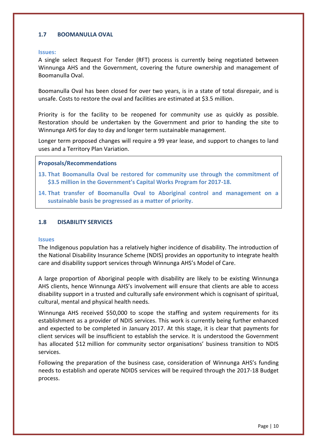# **1.7 BOOMANULLA OVAL**

#### **Issues:**

A single select Request For Tender (RFT) process is currently being negotiated between Winnunga AHS and the Government, covering the future ownership and management of Boomanulla Oval.

Boomanulla Oval has been closed for over two years, is in a state of total disrepair, and is unsafe. Costs to restore the oval and facilities are estimated at \$3.5 million.

Priority is for the facility to be reopened for community use as quickly as possible. Restoration should be undertaken by the Government and prior to handing the site to Winnunga AHS for day to day and longer term sustainable management.

Longer term proposed changes will require a 99 year lease, and support to changes to land uses and a Territory Plan Variation.

#### **Proposals/Recommendations**

- **13. That Boomanulla Oval be restored for community use through the commitment of \$3.5 million in the Government's Capital Works Program for 2017-18.**
- **14. That transfer of Boomanulla Oval to Aboriginal control and management on a sustainable basis be progressed as a matter of priority.**

#### **1.8 DISABILITY SERVICES**

#### **Issues**

The Indigenous population has a relatively higher incidence of disability. The introduction of the National Disability Insurance Scheme (NDIS) provides an opportunity to integrate health care and disability support services through Winnunga AHS's Model of Care.

A large proportion of Aboriginal people with disability are likely to be existing Winnunga AHS clients, hence Winnunga AHS's involvement will ensure that clients are able to access disability support in a trusted and culturally safe environment which is cognisant of spiritual, cultural, mental and physical health needs.

Winnunga AHS received \$50,000 to scope the staffing and system requirements for its establishment as a provider of NDIS services. This work is currently being further enhanced and expected to be completed in January 2017. At this stage, it is clear that payments for client services will be insufficient to establish the service. It is understood the Government has allocated \$12 million for community sector organisations' business transition to NDIS services.

Following the preparation of the business case, consideration of Winnunga AHS's funding needs to establish and operate NDIDS services will be required through the 2017-18 Budget process.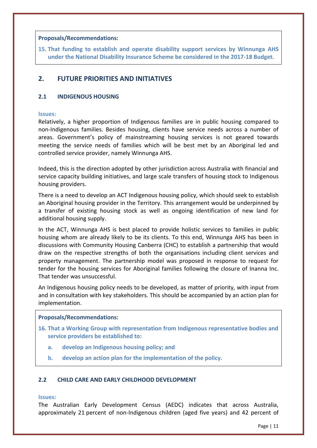#### **Proposals/Recommendations:**

**15. That funding to establish and operate disability support services by Winnunga AHS under the National Disability Insurance Scheme be considered in the 2017-18 Budget.**

# **2. FUTURE PRIORITIES AND INITIATIVES**

#### **2.1 INDIGENOUS HOUSING**

#### **Issues:**

Relatively, a higher proportion of Indigenous families are in public housing compared to non-Indigenous families. Besides housing, clients have service needs across a number of areas. Government's policy of mainstreaming housing services is not geared towards meeting the service needs of families which will be best met by an Aboriginal led and controlled service provider, namely Winnunga AHS.

Indeed, this is the direction adopted by other jurisdiction across Australia with financial and service capacity building initiatives, and large scale transfers of housing stock to Indigenous housing providers.

There is a need to develop an ACT Indigenous housing policy, which should seek to establish an Aboriginal housing provider in the Territory. This arrangement would be underpinned by a transfer of existing housing stock as well as ongoing identification of new land for additional housing supply.

In the ACT, Winnunga AHS is best placed to provide holistic services to families in public housing whom are already likely to be its clients. To this end, Winnunga AHS has been in discussions with Community Housing Canberra (CHC) to establish a partnership that would draw on the respective strengths of both the organisations including client services and property management. The partnership model was proposed in response to request for tender for the housing services for Aboriginal families following the closure of Inanna Inc. That tender was unsuccessful.

An Indigenous housing policy needs to be developed, as matter of priority, with input from and in consultation with key stakeholders. This should be accompanied by an action plan for implementation.

#### **Proposals/Recommendations:**

- **16. That a Working Group with representation from Indigenous representative bodies and service providers be established to:**
	- **a. develop an Indigenous housing policy; and**
	- **b. develop an action plan for the implementation of the policy.**

#### **2.2 CHILD CARE AND EARLY CHILDHOOD DEVELOPMENT**

#### **Issues:**

The Australian Early Development Census (AEDC) indicates that across Australia, approximately 21 percent of non-Indigenous children (aged five years) and 42 percent of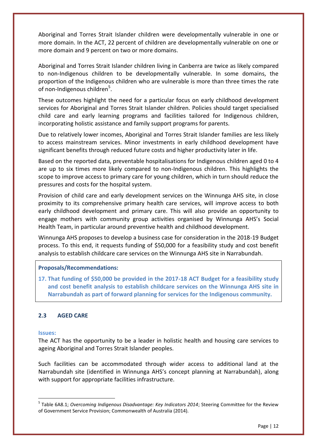Aboriginal and Torres Strait Islander children were developmentally vulnerable in one or more domain. In the ACT, 22 percent of children are developmentally vulnerable on one or more domain and 9 percent on two or more domains.

Aboriginal and Torres Strait Islander children living in Canberra are twice as likely compared to non-Indigenous children to be developmentally vulnerable. In some domains, the proportion of the Indigenous children who are vulnerable is more than three times the rate of non-Indigenous children<sup>5</sup>.

These outcomes highlight the need for a particular focus on early childhood development services for Aboriginal and Torres Strait Islander children. Policies should target specialised child care and early learning programs and facilities tailored for Indigenous children, incorporating holistic assistance and family support programs for parents.

Due to relatively lower incomes, Aboriginal and Torres Strait Islander families are less likely to access mainstream services. Minor investments in early childhood development have significant benefits through reduced future costs and higher productivity later in life.

Based on the reported data, preventable hospitalisations for Indigenous children aged 0 to 4 are up to six times more likely compared to non-Indigenous children. This highlights the scope to improve access to primary care for young children, which in turn should reduce the pressures and costs for the hospital system.

Provision of child care and early development services on the Winnunga AHS site, in close proximity to its comprehensive primary health care services, will improve access to both early childhood development and primary care. This will also provide an opportunity to engage mothers with community group activities organised by Winnunga AHS's Social Health Team, in particular around preventive health and childhood development.

Winnunga AHS proposes to develop a business case for consideration in the 2018-19 Budget process. To this end, it requests funding of \$50,000 for a feasibility study and cost benefit analysis to establish childcare care services on the Winnunga AHS site in Narrabundah.

# **Proposals/Recommendations:**

**17. That funding of \$50,000 be provided in the 2017-18 ACT Budget for a feasibility study and cost benefit analysis to establish childcare services on the Winnunga AHS site in Narrabundah as part of forward planning for services for the Indigenous community.**

# **2.3 AGED CARE**

#### **Issues:**

 $\overline{a}$ 

The ACT has the opportunity to be a leader in holistic health and housing care services to ageing Aboriginal and Torres Strait Islander peoples.

Such facilities can be accommodated through wider access to additional land at the Narrabundah site (identified in Winnunga AHS's concept planning at Narrabundah), along with support for appropriate facilities infrastructure.

<sup>5</sup> Table 6A8.1; *Overcoming Indigenous Disadvantage: Key Indicators 2014*; Steering Committee for the Review of Government Service Provision; Commonwealth of Australia (2014).